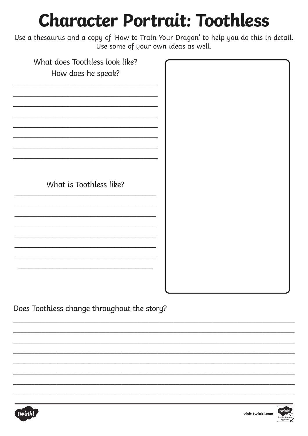## **Character Portrait: Toothless**

Use a thesaurus and a copy of 'How to Train Your Dragon' to help you do this in detail. Use some of your own ideas as well.

| What does Toothless look like? |  |
|--------------------------------|--|
| How does he speak?             |  |
|                                |  |
|                                |  |
|                                |  |
|                                |  |
|                                |  |
|                                |  |
|                                |  |
|                                |  |
|                                |  |
|                                |  |
|                                |  |
|                                |  |
| What is Toothless like?        |  |
|                                |  |
|                                |  |
|                                |  |
|                                |  |
|                                |  |
|                                |  |
|                                |  |
|                                |  |
|                                |  |
|                                |  |
|                                |  |
|                                |  |
|                                |  |

Does Toothless change throughout the story?



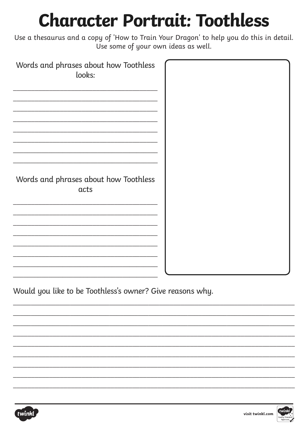## **Character Portrait: Toothless**

Use a thesaurus and a copy of 'How to Train Your Dragon' to help you do this in detail. Use some of your own ideas as well.

| Words and phrases about how Toothless<br>looks: |  |
|-------------------------------------------------|--|
|                                                 |  |
| Words and phrases about how Toothless<br>acts   |  |
|                                                 |  |

Would you like to be Toothless's owner? Give reasons why.